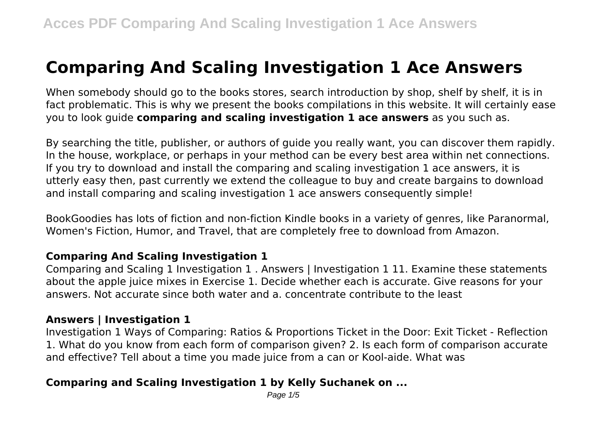# **Comparing And Scaling Investigation 1 Ace Answers**

When somebody should go to the books stores, search introduction by shop, shelf by shelf, it is in fact problematic. This is why we present the books compilations in this website. It will certainly ease you to look guide **comparing and scaling investigation 1 ace answers** as you such as.

By searching the title, publisher, or authors of guide you really want, you can discover them rapidly. In the house, workplace, or perhaps in your method can be every best area within net connections. If you try to download and install the comparing and scaling investigation 1 ace answers, it is utterly easy then, past currently we extend the colleague to buy and create bargains to download and install comparing and scaling investigation 1 ace answers consequently simple!

BookGoodies has lots of fiction and non-fiction Kindle books in a variety of genres, like Paranormal, Women's Fiction, Humor, and Travel, that are completely free to download from Amazon.

# **Comparing And Scaling Investigation 1**

Comparing and Scaling 1 Investigation 1 . Answers | Investigation 1 11. Examine these statements about the apple juice mixes in Exercise 1. Decide whether each is accurate. Give reasons for your answers. Not accurate since both water and a. concentrate contribute to the least

## **Answers | Investigation 1**

Investigation 1 Ways of Comparing: Ratios & Proportions Ticket in the Door: Exit Ticket - Reflection 1. What do you know from each form of comparison given? 2. Is each form of comparison accurate and effective? Tell about a time you made juice from a can or Kool-aide. What was

# **Comparing and Scaling Investigation 1 by Kelly Suchanek on ...**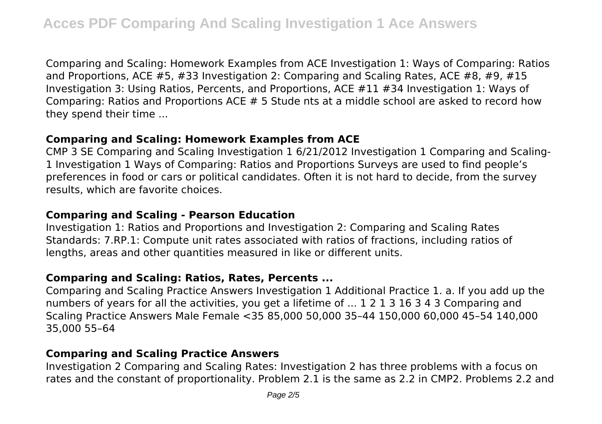Comparing and Scaling: Homework Examples from ACE Investigation 1: Ways of Comparing: Ratios and Proportions, ACE  $#5, #33$  Investigation 2: Comparing and Scaling Rates, ACE  $#8, #9, #15$ Investigation 3: Using Ratios, Percents, and Proportions, ACE #11 #34 Investigation 1: Ways of Comparing: Ratios and Proportions ACE # 5 Stude nts at a middle school are asked to record how they spend their time ...

### **Comparing and Scaling: Homework Examples from ACE**

CMP 3 SE Comparing and Scaling Investigation 1 6/21/2012 Investigation 1 Comparing and Scaling-1 Investigation 1 Ways of Comparing: Ratios and Proportions Surveys are used to find people's preferences in food or cars or political candidates. Often it is not hard to decide, from the survey results, which are favorite choices.

# **Comparing and Scaling - Pearson Education**

Investigation 1: Ratios and Proportions and Investigation 2: Comparing and Scaling Rates Standards: 7.RP.1: Compute unit rates associated with ratios of fractions, including ratios of lengths, areas and other quantities measured in like or different units.

# **Comparing and Scaling: Ratios, Rates, Percents ...**

Comparing and Scaling Practice Answers Investigation 1 Additional Practice 1. a. If you add up the numbers of years for all the activities, you get a lifetime of ... 1 2 1 3 16 3 4 3 Comparing and Scaling Practice Answers Male Female <35 85,000 50,000 35–44 150,000 60,000 45–54 140,000 35,000 55–64

# **Comparing and Scaling Practice Answers**

Investigation 2 Comparing and Scaling Rates: Investigation 2 has three problems with a focus on rates and the constant of proportionality. Problem 2.1 is the same as 2.2 in CMP2. Problems 2.2 and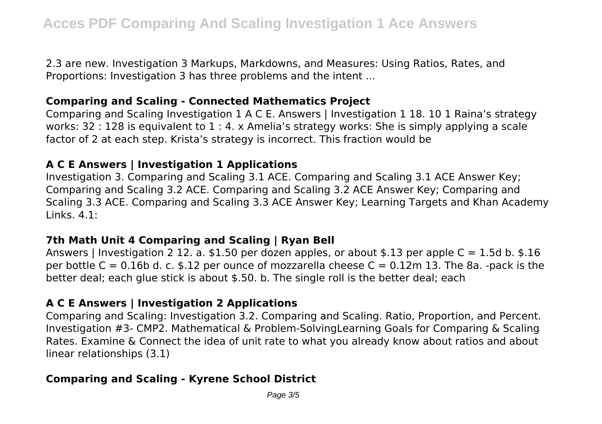2.3 are new. Investigation 3 Markups, Markdowns, and Measures: Using Ratios, Rates, and Proportions: Investigation 3 has three problems and the intent ...

## **Comparing and Scaling - Connected Mathematics Project**

Comparing and Scaling Investigation 1 A C E. Answers | Investigation 1 18. 10 1 Raina's strategy works: 32 : 128 is equivalent to 1 : 4. x Amelia's strategy works: She is simply applying a scale factor of 2 at each step. Krista's strategy is incorrect. This fraction would be

### **A C E Answers | Investigation 1 Applications**

Investigation 3. Comparing and Scaling 3.1 ACE. Comparing and Scaling 3.1 ACE Answer Key; Comparing and Scaling 3.2 ACE. Comparing and Scaling 3.2 ACE Answer Key; Comparing and Scaling 3.3 ACE. Comparing and Scaling 3.3 ACE Answer Key; Learning Targets and Khan Academy Links. 4.1:

#### **7th Math Unit 4 Comparing and Scaling | Ryan Bell**

Answers | Investigation 2 12. a. \$1.50 per dozen apples, or about \$.13 per apple  $C = 1.5d$  b. \$.16 per bottle  $C = 0.16$ b d. c. \$.12 per ounce of mozzarella cheese  $C = 0.12$ m 13. The 8a. -pack is the better deal; each glue stick is about \$.50. b. The single roll is the better deal; each

## **A C E Answers | Investigation 2 Applications**

Comparing and Scaling: Investigation 3.2. Comparing and Scaling. Ratio, Proportion, and Percent. Investigation #3- CMP2. Mathematical & Problem-SolvingLearning Goals for Comparing & Scaling Rates. Examine & Connect the idea of unit rate to what you already know about ratios and about linear relationships (3.1)

# **Comparing and Scaling - Kyrene School District**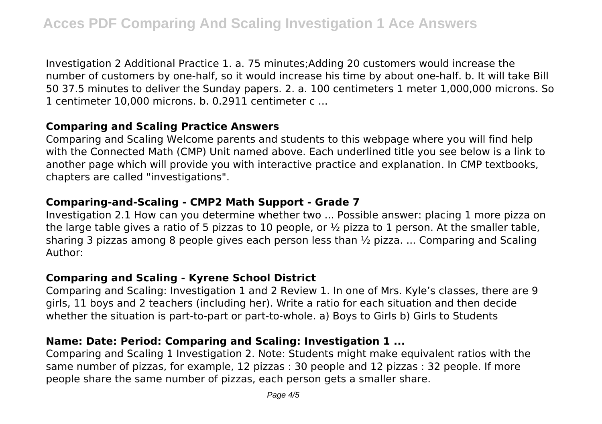Investigation 2 Additional Practice 1. a. 75 minutes;Adding 20 customers would increase the number of customers by one-half, so it would increase his time by about one-half. b. It will take Bill 50 37.5 minutes to deliver the Sunday papers. 2. a. 100 centimeters 1 meter 1,000,000 microns. So 1 centimeter 10,000 microns. b. 0.2911 centimeter c ...

## **Comparing and Scaling Practice Answers**

Comparing and Scaling Welcome parents and students to this webpage where you will find help with the Connected Math (CMP) Unit named above. Each underlined title you see below is a link to another page which will provide you with interactive practice and explanation. In CMP textbooks, chapters are called "investigations".

## **Comparing-and-Scaling - CMP2 Math Support - Grade 7**

Investigation 2.1 How can you determine whether two ... Possible answer: placing 1 more pizza on the large table gives a ratio of 5 pizzas to 10 people, or  $\frac{1}{2}$  pizza to 1 person. At the smaller table, sharing 3 pizzas among 8 people gives each person less than ½ pizza. ... Comparing and Scaling Author:

## **Comparing and Scaling - Kyrene School District**

Comparing and Scaling: Investigation 1 and 2 Review 1. In one of Mrs. Kyle's classes, there are 9 girls, 11 boys and 2 teachers (including her). Write a ratio for each situation and then decide whether the situation is part-to-part or part-to-whole. a) Boys to Girls b) Girls to Students

# **Name: Date: Period: Comparing and Scaling: Investigation 1 ...**

Comparing and Scaling 1 Investigation 2. Note: Students might make equivalent ratios with the same number of pizzas, for example, 12 pizzas : 30 people and 12 pizzas : 32 people. If more people share the same number of pizzas, each person gets a smaller share.